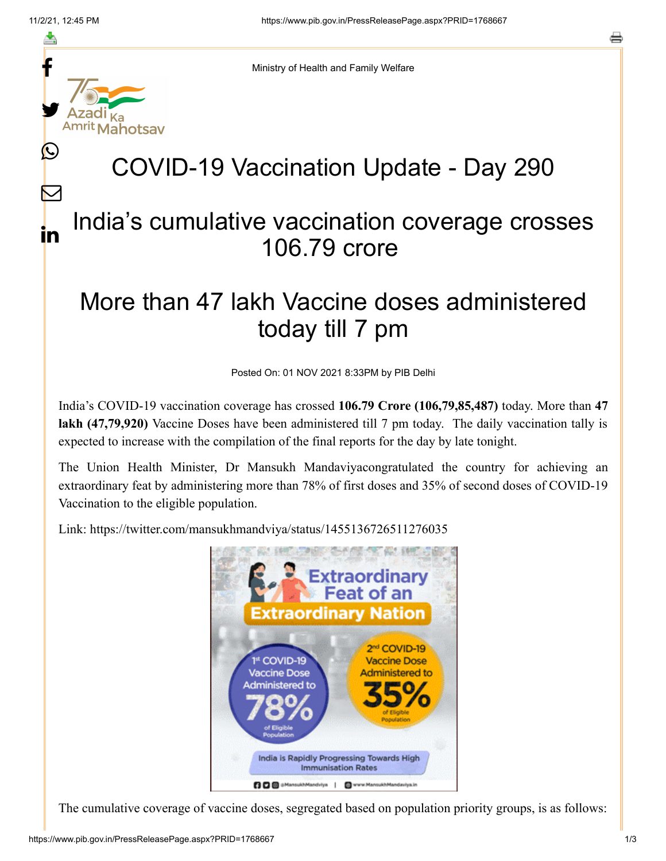f

≛

y.

Ŀ

 $\bm{\nabla}$ 

in



# COVID-19 Vaccination Update - Day 290

### India's cumulative vaccination coverage crosses 106.79 crore

## More than 47 lakh Vaccine doses administered today till 7 pm

Posted On: 01 NOV 2021 8:33PM by PIB Delhi

India's COVID-19 vaccination coverage has crossed **106.79 Crore (106,79,85,487)** today. More than **47 lakh (47,79,920)** Vaccine Doses have been administered till 7 pm today. The daily vaccination tally is expected to increase with the compilation of the final reports for the day by late tonight.

The Union Health Minister, Dr Mansukh Mandaviyacongratulated the country for achieving an extraordinary feat by administering more than 78% of first doses and 35% of second doses of COVID-19 Vaccination to the eligible population.

Link: <https://twitter.com/mansukhmandviya/status/1455136726511276035>



The cumulative coverage of vaccine doses, segregated based on population priority groups, is as follows: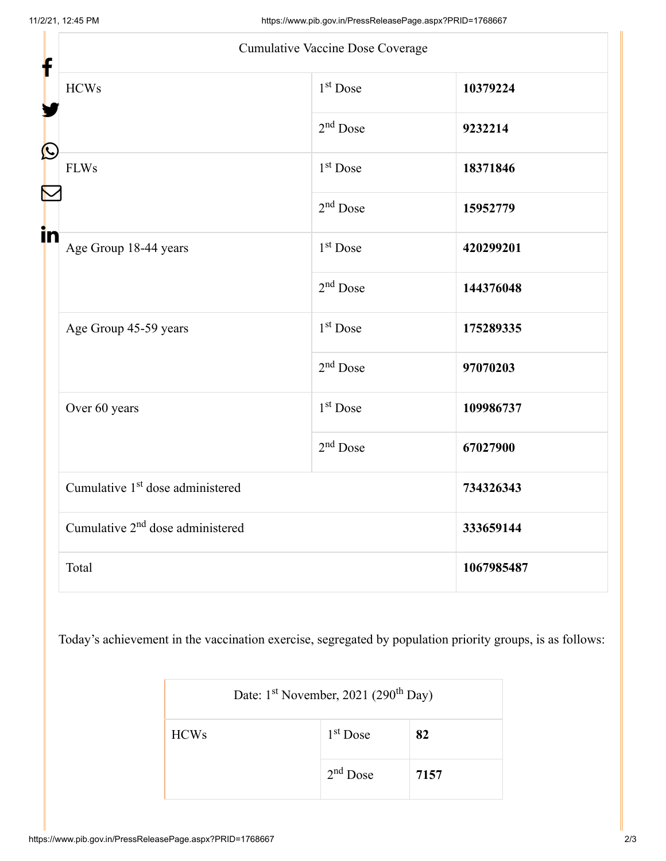| Cumulative Vaccine Dose Coverage<br>f        |                      |            |
|----------------------------------------------|----------------------|------------|
| <b>HCWs</b>                                  | $1st$ Dose           | 10379224   |
| C                                            | $2nd$ Dose           | 9232214    |
| <b>FLWs</b>                                  | $1st$ Dose           | 18371846   |
| in                                           | $2nd$ Dose           | 15952779   |
| Age Group 18-44 years                        | $1st$ Dose           | 420299201  |
|                                              | $2nd$ Dose           | 144376048  |
| Age Group 45-59 years                        | 1 <sup>st</sup> Dose | 175289335  |
|                                              | $2nd$ Dose           | 97070203   |
| Over 60 years                                | $1st$ Dose           | 109986737  |
|                                              | $2nd$ Dose           | 67027900   |
| Cumulative 1 <sup>st</sup> dose administered |                      | 734326343  |
| Cumulative 2 <sup>nd</sup> dose administered |                      | 333659144  |
| Total                                        |                      | 1067985487 |

Today's achievement in the vaccination exercise, segregated by population priority groups, is as follows:

| Date: $1st$ November, 2021 (290 <sup>th</sup> Day) |            |      |  |
|----------------------------------------------------|------------|------|--|
| <b>HCWs</b>                                        | $1st$ Dose | 82   |  |
|                                                    | $2nd$ Dose | 7157 |  |